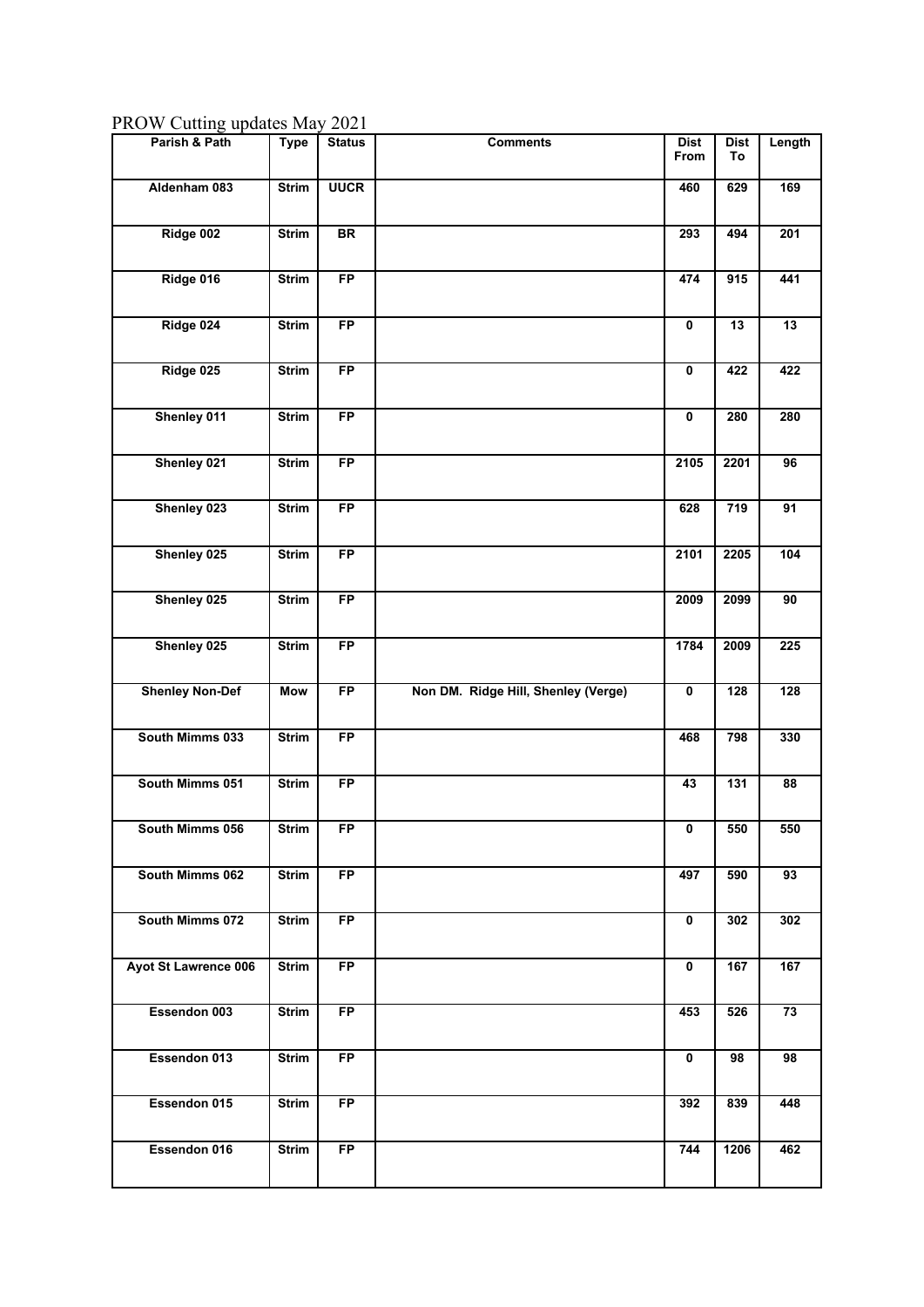PROW Cutting updates May 2021

| Parish & Path          | <b>Type</b>  | <b>Status</b> | <b>Comments</b>                     | <b>Dist</b><br>From     | <b>Dist</b><br>To | Length          |
|------------------------|--------------|---------------|-------------------------------------|-------------------------|-------------------|-----------------|
| Aldenham 083           | <b>Strim</b> | <b>UUCR</b>   |                                     | 460                     | 629               | 169             |
| Ridge 002              |              |               |                                     |                         |                   |                 |
|                        | <b>Strim</b> | BR            |                                     | 293                     | 494               | 201             |
| Ridge 016              | <b>Strim</b> | <b>FP</b>     |                                     | 474                     | 915               | 441             |
| Ridge 024              | <b>Strim</b> | FP            |                                     | $\mathbf 0$             | 13                | 13              |
| Ridge 025              | <b>Strim</b> | FP            |                                     | $\mathbf 0$             | 422               | 422             |
| Shenley 011            | <b>Strim</b> | <b>FP</b>     |                                     | $\mathbf 0$             | 280               | 280             |
| Shenley 021            | <b>Strim</b> | FP            |                                     | 2105                    | 2201              | 96              |
| Shenley 023            | <b>Strim</b> | FP            |                                     | 628                     | 719               | 91              |
| Shenley 025            | <b>Strim</b> | <b>FP</b>     |                                     | 2101                    | 2205              | $\frac{1}{104}$ |
| Shenley 025            | <b>Strim</b> | <b>FP</b>     |                                     | 2009                    | 2099              | 90              |
| Shenley 025            | <b>Strim</b> | FP            |                                     | 1784                    | 2009              | 225             |
| <b>Shenley Non-Def</b> | Mow          | FP            | Non DM. Ridge Hill, Shenley (Verge) | $\mathbf 0$             | 128               | 128             |
| South Mimms 033        | <b>Strim</b> | FP            |                                     | 468                     | 798               | 330             |
| South Mimms 051        | <b>Strim</b> | <b>FP</b>     |                                     | 43                      | $\overline{131}$  | 88              |
| South Mimms 056        | <b>Strim</b> | <b>FP</b>     |                                     | $\overline{\mathbf{0}}$ | 550               | 550             |
| South Mimms 062        | <b>Strim</b> | <b>FP</b>     |                                     | 497                     | 590               | 93              |
| South Mimms 072        | <b>Strim</b> | <b>FP</b>     |                                     | $\mathbf 0$             | 302               | 302             |
| Ayot St Lawrence 006   | <b>Strim</b> | <b>FP</b>     |                                     | $\pmb{0}$               | 167               | 167             |
| Essendon 003           | <b>Strim</b> | <b>FP</b>     |                                     | 453                     | 526               | 73              |
| Essendon 013           | <b>Strim</b> | <b>FP</b>     |                                     | $\mathbf 0$             | 98                | 98              |
| Essendon 015           | <b>Strim</b> | <b>FP</b>     |                                     | 392                     | 839               | 448             |
| Essendon 016           | <b>Strim</b> | FP            |                                     | 744                     | 1206              | 462             |